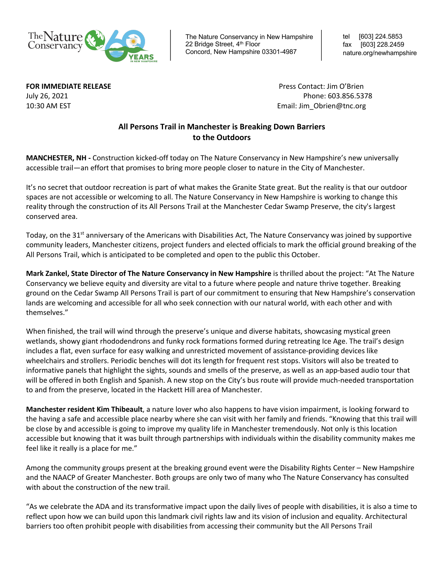

The Nature Conservancy in New Hampshire 22 Bridge Street, 4<sup>th</sup> Floor Concord, New Hampshire 03301-4987

tel [603] 224.5853 fax [603] 228.2459 nature.org/newhampshire

**FOR IMMEDIATE RELEASE** Press Contact: Jim O'Brien July 26, 2021 Phone: 603.856.5378 10:30 AM ESTEmail: Jim\_Obrien@tnc.org

## **All Persons Trail in Manchester is Breaking Down Barriers to the Outdoors**

**MANCHESTER, NH -** Construction kicked-off today on The Nature Conservancy in New Hampshire's new universally accessible trail—an effort that promises to bring more people closer to nature in the City of Manchester.

It's no secret that outdoor recreation is part of what makes the Granite State great. But the reality is that our outdoor spaces are not accessible or welcoming to all. The Nature Conservancy in New Hampshire is working to change this reality through the construction of its All Persons Trail at the Manchester Cedar Swamp Preserve, the city's largest conserved area.

Today, on the 31<sup>st</sup> anniversary of the Americans with Disabilities Act, The Nature Conservancy was joined by supportive community leaders, Manchester citizens, project funders and elected officials to mark the official ground breaking of the All Persons Trail, which is anticipated to be completed and open to the public this October.

**Mark Zankel, State Director of The Nature Conservancy in New Hampshire** is thrilled about the project: "At The Nature Conservancy we believe equity and diversity are vital to a future where people and nature thrive together. Breaking ground on the Cedar Swamp All Persons Trail is part of our commitment to ensuring that New Hampshire's conservation lands are welcoming and accessible for all who seek connection with our natural world, with each other and with themselves."

When finished, the trail will wind through the preserve's unique and diverse habitats, showcasing mystical green wetlands, showy giant rhododendrons and funky rock formations formed during retreating Ice Age. The trail's design includes a flat, even surface for easy walking and unrestricted movement of assistance-providing devices like wheelchairs and strollers. Periodic benches will dot its length for frequent rest stops. Visitors will also be treated to informative panels that highlight the sights, sounds and smells of the preserve, as well as an app-based audio tour that will be offered in both English and Spanish. A new stop on the City's bus route will provide much-needed transportation to and from the preserve, located in the Hackett Hill area of Manchester.

**Manchester resident Kim Thibeault**, a nature lover who also happens to have vision impairment, is looking forward to the having a safe and accessible place nearby where she can visit with her family and friends. "Knowing that this trail will be close by and accessible is going to improve my quality life in Manchester tremendously. Not only is this location accessible but knowing that it was built through partnerships with individuals within the disability community makes me feel like it really is a place for me."

Among the community groups present at the breaking ground event were the Disability Rights Center – New Hampshire and the NAACP of Greater Manchester. Both groups are only two of many who The Nature Conservancy has consulted with about the construction of the new trail.

"As we celebrate the ADA and its transformative impact upon the daily lives of people with disabilities, it is also a time to reflect upon how we can build upon this landmark civil rights law and its vision of inclusion and equality. Architectural barriers too often prohibit people with disabilities from accessing their community but the All Persons Trail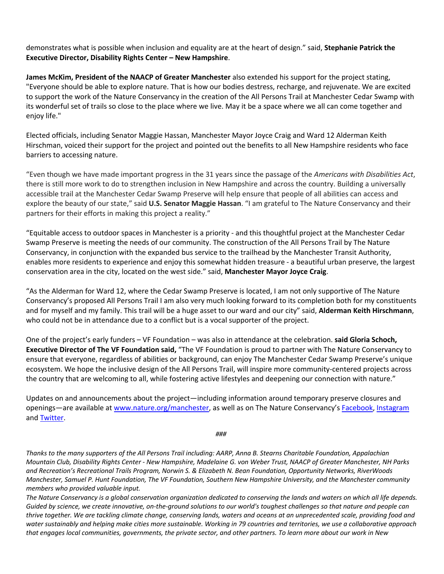demonstrates what is possible when inclusion and equality are at the heart of design." said, **Stephanie Patrick the Executive Director, Disability Rights Center – New Hampshire**.

**James McKim, President of the NAACP of Greater Manchester** also extended his support for the project stating, "Everyone should be able to explore nature. That is how our bodies destress, recharge, and rejuvenate. We are excited to support the work of the Nature Conservancy in the creation of the All Persons Trail at Manchester Cedar Swamp with its wonderful set of trails so close to the place where we live. May it be a space where we all can come together and enjoy life."

Elected officials, including Senator Maggie Hassan, Manchester Mayor Joyce Craig and Ward 12 Alderman Keith Hirschman, voiced their support for the project and pointed out the benefits to all New Hampshire residents who face barriers to accessing nature.

"Even though we have made important progress in the 31 years since the passage of the *Americans with Disabilities Act*, there is still more work to do to strengthen inclusion in New Hampshire and across the country. Building a universally accessible trail at the Manchester Cedar Swamp Preserve will help ensure that people of all abilities can access and explore the beauty of our state," said **U.S. Senator Maggie Hassan**. "I am grateful to The Nature Conservancy and their partners for their efforts in making this project a reality."

"Equitable access to outdoor spaces in Manchester is a priority - and this thoughtful project at the Manchester Cedar Swamp Preserve is meeting the needs of our community. The construction of the All Persons Trail by The Nature Conservancy, in conjunction with the expanded bus service to the trailhead by the Manchester Transit Authority, enables more residents to experience and enjoy this somewhat hidden treasure - a beautiful urban preserve, the largest conservation area in the city, located on the west side." said, **Manchester Mayor Joyce Craig**.

"As the Alderman for Ward 12, where the Cedar Swamp Preserve is located, I am not only supportive of The Nature Conservancy's proposed All Persons Trail I am also very much looking forward to its completion both for my constituents and for myself and my family. This trail will be a huge asset to our ward and our city" said, **Alderman Keith Hirschmann**, who could not be in attendance due to a conflict but is a vocal supporter of the project.

One of the project's early funders – VF Foundation – was also in attendance at the celebration. **said Gloria Schoch, Executive Director of The VF Foundation said,** "The VF Foundation is proud to partner with The Nature Conservancy to ensure that everyone, regardless of abilities or background, can enjoy The Manchester Cedar Swamp Preserve's unique ecosystem. We hope the inclusive design of the All Persons Trail, will inspire more community-centered projects across the country that are welcoming to all, while fostering active lifestyles and deepening our connection with nature."

Updates on and announcements about the project—including information around temporary preserve closures and openings—are available at www.nature.org/manchester, as well as on The Nature Conservancy's Facebook, Instagram and Twitter.

*###*

*Thanks to the many supporters of the All Persons Trail including: AARP, Anna B. Stearns Charitable Foundation, Appalachian Mountain Club, Disability Rights Center - New Hampshire, Madelaine G. von Weber Trust, NAACP of Greater Manchester, NH Parks and Recreation's Recreational Trails Program, Norwin S. & Elizabeth N. Bean Foundation, Opportunity Networks, RiverWoods Manchester, Samuel P. Hunt Foundation, The VF Foundation, Southern New Hampshire University, and the Manchester community members who provided valuable input.* 

*The Nature Conservancy is a global conservation organization dedicated to conserving the lands and waters on which all life depends. Guided by science, we create innovative, on-the-ground solutions to our world's toughest challenges so that nature and people can thrive together. We are tackling climate change, conserving lands, waters and oceans at an unprecedented scale, providing food and water sustainably and helping make cities more sustainable. Working in 79 countries and territories, we use a collaborative approach that engages local communities, governments, the private sector, and other partners. To learn more about our work in New*